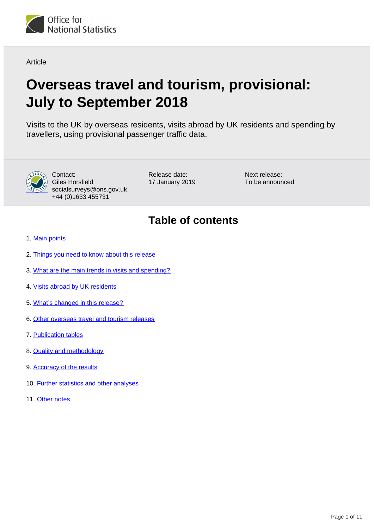

**Article** 

# **Overseas travel and tourism, provisional: July to September 2018**

Visits to the UK by overseas residents, visits abroad by UK residents and spending by travellers, using provisional passenger traffic data.



Contact: Giles Horsfield socialsurveys@ons.gov.uk +44 (0)1633 455731

Release date: 17 January 2019 Next release: To be announced

# **Table of contents**

- 1. [Main points](#page-1-0)
- 2. [Things you need to know about this release](#page-1-1)
- 3. [What are the main trends in visits and spending?](#page-3-0)
- 4. [Visits abroad by UK residents](#page-5-0)
- 5. [What's changed in this release?](#page-6-0)
- 6. [Other overseas travel and tourism releases](#page-7-0)
- 7. [Publication tables](#page-7-1)
- 8. [Quality and methodology](#page-7-2)
- 9. [Accuracy of the results](#page-8-0)
- 10. [Further statistics and other analyses](#page-9-0)
- 11. [Other notes](#page-10-0)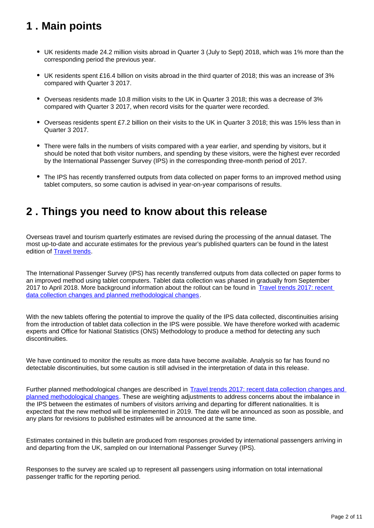# <span id="page-1-0"></span>**1 . Main points**

- UK residents made 24.2 million visits abroad in Quarter 3 (July to Sept) 2018, which was 1% more than the corresponding period the previous year.
- UK residents spent £16.4 billion on visits abroad in the third quarter of 2018; this was an increase of 3% compared with Quarter 3 2017.
- Overseas residents made 10.8 million visits to the UK in Quarter 3 2018; this was a decrease of 3% compared with Quarter 3 2017, when record visits for the quarter were recorded.
- Overseas residents spent £7.2 billion on their visits to the UK in Quarter 3 2018; this was 15% less than in Quarter 3 2017.
- There were falls in the numbers of visits compared with a year earlier, and spending by visitors, but it should be noted that both visitor numbers, and spending by these visitors, were the highest ever recorded by the International Passenger Survey (IPS) in the corresponding three-month period of 2017.
- The IPS has recently transferred outputs from data collected on paper forms to an improved method using tablet computers, so some caution is advised in year-on-year comparisons of results.

# <span id="page-1-1"></span>**2 . Things you need to know about this release**

Overseas travel and tourism quarterly estimates are revised during the processing of the annual dataset. The most up-to-date and accurate estimates for the previous year's published quarters can be found in the latest edition of [Travel trends.](https://www.ons.gov.uk/peoplepopulationandcommunity/leisureandtourism/articles/traveltrends/2017)

The International Passenger Survey (IPS) has recently transferred outputs from data collected on paper forms to an improved method using tablet computers. Tablet data collection was phased in gradually from September 2017 to April 2018. More background information about the rollout can be found in Travel trends 2017: recent [data collection changes and planned methodological changes.](https://www.ons.gov.uk/peoplepopulationandcommunity/leisureandtourism/articles/traveltrends2017recentdatacollectionchangesandplannedmethodologicalchanges/2018-07-20)

With the new tablets offering the potential to improve the quality of the IPS data collected, discontinuities arising from the introduction of tablet data collection in the IPS were possible. We have therefore worked with academic experts and Office for National Statistics (ONS) Methodology to produce a method for detecting any such discontinuities.

We have continued to monitor the results as more data have become available. Analysis so far has found no detectable discontinuities, but some caution is still advised in the interpretation of data in this release.

Further planned methodological changes are described in Travel trends 2017: recent data collection changes and [planned methodological changes.](https://www.ons.gov.uk/peoplepopulationandcommunity/leisureandtourism/articles/traveltrends2017recentdatacollectionchangesandplannedmethodologicalchanges/2018-07-20) These are weighting adjustments to address concerns about the imbalance in the IPS between the estimates of numbers of visitors arriving and departing for different nationalities. It is expected that the new method will be implemented in 2019. The date will be announced as soon as possible, and any plans for revisions to published estimates will be announced at the same time.

Estimates contained in this bulletin are produced from responses provided by international passengers arriving in and departing from the UK, sampled on our International Passenger Survey (IPS).

Responses to the survey are scaled up to represent all passengers using information on total international passenger traffic for the reporting period.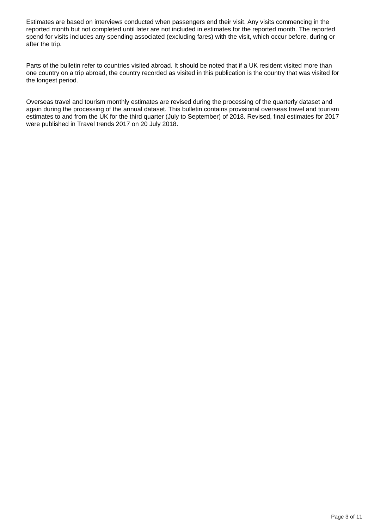Estimates are based on interviews conducted when passengers end their visit. Any visits commencing in the reported month but not completed until later are not included in estimates for the reported month. The reported spend for visits includes any spending associated (excluding fares) with the visit, which occur before, during or after the trip.

Parts of the bulletin refer to countries visited abroad. It should be noted that if a UK resident visited more than one country on a trip abroad, the country recorded as visited in this publication is the country that was visited for the longest period.

Overseas travel and tourism monthly estimates are revised during the processing of the quarterly dataset and again during the processing of the annual dataset. This bulletin contains provisional overseas travel and tourism estimates to and from the UK for the third quarter (July to September) of 2018. Revised, final estimates for 2017 were published in Travel trends 2017 on 20 July 2018.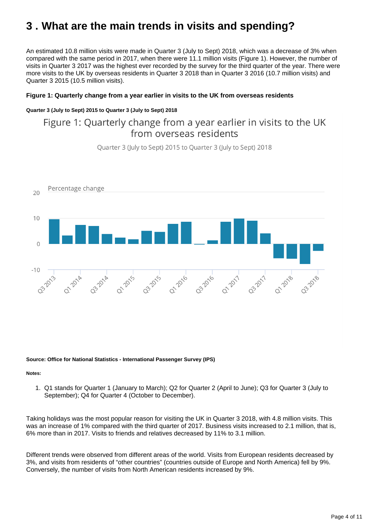# <span id="page-3-0"></span>**3 . What are the main trends in visits and spending?**

An estimated 10.8 million visits were made in Quarter 3 (July to Sept) 2018, which was a decrease of 3% when compared with the same period in 2017, when there were 11.1 million visits (Figure 1). However, the number of visits in Quarter 3 2017 was the highest ever recorded by the survey for the third quarter of the year. There were more visits to the UK by overseas residents in Quarter 3 2018 than in Quarter 3 2016 (10.7 million visits) and Quarter 3 2015 (10.5 million visits).

### **Figure 1: Quarterly change from a year earlier in visits to the UK from overseas residents**

### **Quarter 3 (July to Sept) 2015 to Quarter 3 (July to Sept) 2018**

## Figure 1: Quarterly change from a year earlier in visits to the UK from overseas residents



Quarter 3 (July to Sept) 2015 to Quarter 3 (July to Sept) 2018

#### **Source: Office for National Statistics - International Passenger Survey (IPS)**

### **Notes:**

1. Q1 stands for Quarter 1 (January to March); Q2 for Quarter 2 (April to June); Q3 for Quarter 3 (July to September); Q4 for Quarter 4 (October to December).

Taking holidays was the most popular reason for visiting the UK in Quarter 3 2018, with 4.8 million visits. This was an increase of 1% compared with the third quarter of 2017. Business visits increased to 2.1 million, that is, 6% more than in 2017. Visits to friends and relatives decreased by 11% to 3.1 million.

Different trends were observed from different areas of the world. Visits from European residents decreased by 3%, and visits from residents of "other countries" (countries outside of Europe and North America) fell by 9%. Conversely, the number of visits from North American residents increased by 9%.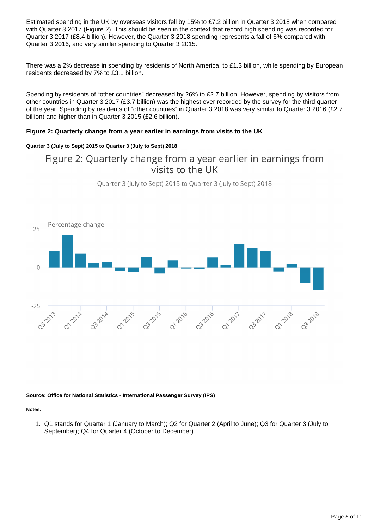Estimated spending in the UK by overseas visitors fell by 15% to £7.2 billion in Quarter 3 2018 when compared with Quarter 3 2017 (Figure 2). This should be seen in the context that record high spending was recorded for Quarter 3 2017 (£8.4 billion). However, the Quarter 3 2018 spending represents a fall of 6% compared with Quarter 3 2016, and very similar spending to Quarter 3 2015.

There was a 2% decrease in spending by residents of North America, to £1.3 billion, while spending by European residents decreased by 7% to £3.1 billion.

Spending by residents of "other countries" decreased by 26% to £2.7 billion. However, spending by visitors from other countries in Quarter 3 2017 (£3.7 billion) was the highest ever recorded by the survey for the third quarter of the year. Spending by residents of "other countries" in Quarter 3 2018 was very similar to Quarter 3 2016 (£2.7 billion) and higher than in Quarter 3 2015 (£2.6 billion).

### **Figure 2: Quarterly change from a year earlier in earnings from visits to the UK**

#### **Quarter 3 (July to Sept) 2015 to Quarter 3 (July to Sept) 2018**

## Figure 2: Quarterly change from a year earlier in earnings from visits to the UK

Ouarter 3 (July to Sept) 2015 to Quarter 3 (July to Sept) 2018



#### **Source: Office for National Statistics - International Passenger Survey (IPS)**

#### **Notes:**

1. Q1 stands for Quarter 1 (January to March); Q2 for Quarter 2 (April to June); Q3 for Quarter 3 (July to September); Q4 for Quarter 4 (October to December).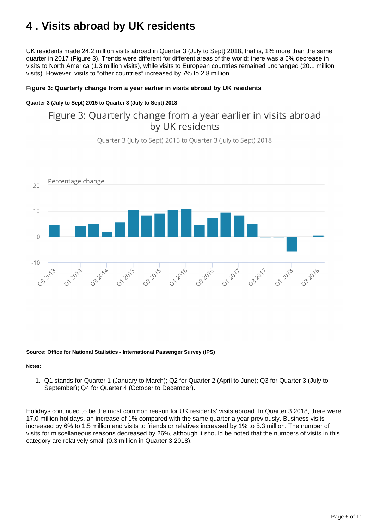# <span id="page-5-0"></span>**4 . Visits abroad by UK residents**

UK residents made 24.2 million visits abroad in Quarter 3 (July to Sept) 2018, that is, 1% more than the same quarter in 2017 (Figure 3). Trends were different for different areas of the world: there was a 6% decrease in visits to North America (1.3 million visits), while visits to European countries remained unchanged (20.1 million visits). However, visits to "other countries" increased by 7% to 2.8 million.

### **Figure 3: Quarterly change from a year earlier in visits abroad by UK residents**

### **Quarter 3 (July to Sept) 2015 to Quarter 3 (July to Sept) 2018**

## Figure 3: Quarterly change from a year earlier in visits abroad by UK residents



Quarter 3 (July to Sept) 2015 to Quarter 3 (July to Sept) 2018

#### **Source: Office for National Statistics - International Passenger Survey (IPS)**

#### **Notes:**

1. Q1 stands for Quarter 1 (January to March); Q2 for Quarter 2 (April to June); Q3 for Quarter 3 (July to September); Q4 for Quarter 4 (October to December).

Holidays continued to be the most common reason for UK residents' visits abroad. In Quarter 3 2018, there were 17.0 million holidays, an increase of 1% compared with the same quarter a year previously. Business visits increased by 6% to 1.5 million and visits to friends or relatives increased by 1% to 5.3 million. The number of visits for miscellaneous reasons decreased by 26%, although it should be noted that the numbers of visits in this category are relatively small (0.3 million in Quarter 3 2018).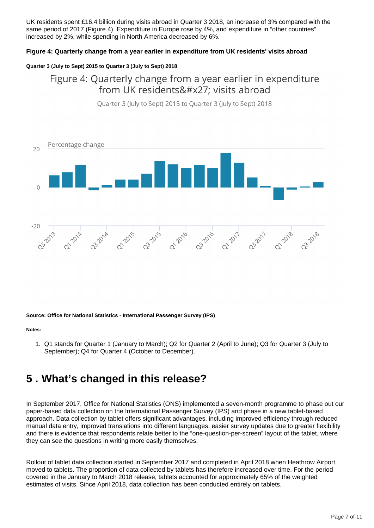UK residents spent £16.4 billion during visits abroad in Quarter 3 2018, an increase of 3% compared with the same period of 2017 (Figure 4). Expenditure in Europe rose by 4%, and expenditure in "other countries" increased by 2%, while spending in North America decreased by 6%.

### **Figure 4: Quarterly change from a year earlier in expenditure from UK residents' visits abroad**

#### **Quarter 3 (July to Sept) 2015 to Quarter 3 (July to Sept) 2018**

Figure 4: Quarterly change from a year earlier in expenditure from UK residents&#x27: visits abroad

Quarter 3 (July to Sept) 2015 to Quarter 3 (July to Sept) 2018



**Source: Office for National Statistics - International Passenger Survey (IPS)**

#### **Notes:**

1. Q1 stands for Quarter 1 (January to March); Q2 for Quarter 2 (April to June); Q3 for Quarter 3 (July to September); Q4 for Quarter 4 (October to December).

# <span id="page-6-0"></span>**5 . What's changed in this release?**

In September 2017, Office for National Statistics (ONS) implemented a seven-month programme to phase out our paper-based data collection on the International Passenger Survey (IPS) and phase in a new tablet-based approach. Data collection by tablet offers significant advantages, including improved efficiency through reduced manual data entry, improved translations into different languages, easier survey updates due to greater flexibility and there is evidence that respondents relate better to the "one-question-per-screen" layout of the tablet, where they can see the questions in writing more easily themselves.

Rollout of tablet data collection started in September 2017 and completed in April 2018 when Heathrow Airport moved to tablets. The proportion of data collected by tablets has therefore increased over time. For the period covered in the January to March 2018 release, tablets accounted for approximately 65% of the weighted estimates of visits. Since April 2018, data collection has been conducted entirely on tablets.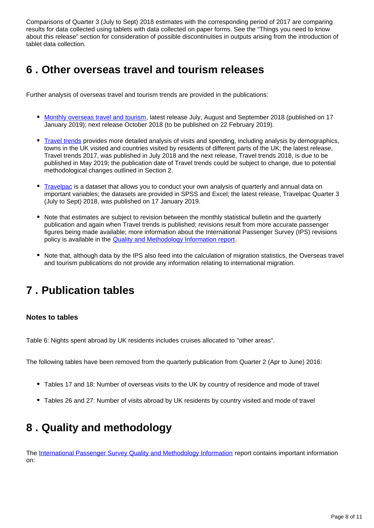Comparisons of Quarter 3 (July to Sept) 2018 estimates with the corresponding period of 2017 are comparing results for data collected using tablets with data collected on paper forms. See the "Things you need to know about this release" section for consideration of possible discontinuities in outputs arising from the introduction of tablet data collection.

# <span id="page-7-0"></span>**6 . Other overseas travel and tourism releases**

Further analysis of overseas travel and tourism trends are provided in the publications:

- [Monthly overseas travel and tourism](https://publishing.ons.gov.uk/peoplepopulationandcommunity/leisureandtourism/bulletins/overseastravelandtourism/julyaugustseptember2018provisionalresults), latest release July, August and September 2018 (published on 17 January 2019); next release October 2018 (to be published on 22 February 2019).
- [Travel trends](https://www.ons.gov.uk/peoplepopulationandcommunity/leisureandtourism/articles/traveltrends/2017) provides more detailed analysis of visits and spending, including analysis by demographics, towns in the UK visited and countries visited by residents of different parts of the UK; the latest release, Travel trends 2017, was published in July 2018 and the next release, Travel trends 2018, is due to be published in May 2019; the publication date of Travel trends could be subject to change, due to potential methodological changes outlined in Section 2.
- [Travelpac](https://www.ons.gov.uk/peoplepopulationandcommunity/leisureandtourism/datasets/travelpac) is a dataset that allows you to conduct your own analysis of quarterly and annual data on important variables; the datasets are provided in SPSS and Excel; the latest release, Travelpac Quarter 3 (July to Sept) 2018, was published on 17 January 2019.
- Note that estimates are subject to revision between the monthly statistical bulletin and the quarterly publication and again when Travel trends is published; revisions result from more accurate passenger figures being made available; more information about the International Passenger Survey (IPS) revisions policy is available in the [Quality and Methodology Information report](https://www.ons.gov.uk/peoplepopulationandcommunity/leisureandtourism/qmis/internationalpassengersurveyipsqmi).
- Note that, although data by the IPS also feed into the calculation of migration statistics, the Overseas travel and tourism publications do not provide any information relating to international migration.

# <span id="page-7-1"></span>**7 . Publication tables**

## **Notes to tables**

Table 6: Nights spent abroad by UK residents includes cruises allocated to "other areas".

The following tables have been removed from the quarterly publication from Quarter 2 (Apr to June) 2016:

- Tables 17 and 18: Number of overseas visits to the UK by country of residence and mode of travel
- Tables 26 and 27: Number of visits abroad by UK residents by country visited and mode of travel

# <span id="page-7-2"></span>**8 . Quality and methodology**

The [International Passenger Survey Quality and Methodology Information](https://www.ons.gov.uk/peoplepopulationandcommunity/leisureandtourism/qmis/internationalpassengersurveyipsqmi) report contains important information on: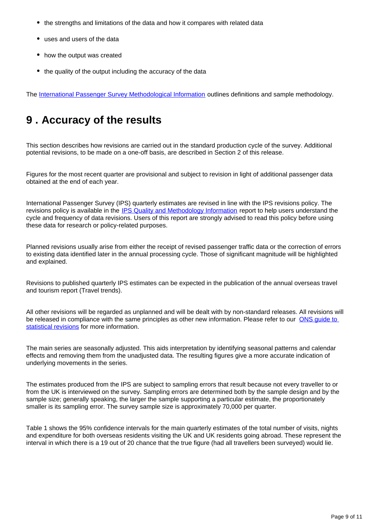- the strengths and limitations of the data and how it compares with related data
- uses and users of the data
- how the output was created
- the quality of the output including the accuracy of the data

The [International Passenger Survey Methodological Information](https://www.ons.gov.uk/peoplepopulationandcommunity/leisureandtourism/methodologies/internationalpassengersurveybackgroundnotes) outlines definitions and sample methodology.

# <span id="page-8-0"></span>**9 . Accuracy of the results**

This section describes how revisions are carried out in the standard production cycle of the survey. Additional potential revisions, to be made on a one-off basis, are described in Section 2 of this release.

Figures for the most recent quarter are provisional and subject to revision in light of additional passenger data obtained at the end of each year.

International Passenger Survey (IPS) quarterly estimates are revised in line with the IPS revisions policy. The revisions policy is available in the **[IPS Quality and Methodology Information](https://www.ons.gov.uk/peoplepopulationandcommunity/leisureandtourism/qmis/internationalpassengersurveyipsqmi)** report to help users understand the cycle and frequency of data revisions. Users of this report are strongly advised to read this policy before using these data for research or policy-related purposes.

Planned revisions usually arise from either the receipt of revised passenger traffic data or the correction of errors to existing data identified later in the annual processing cycle. Those of significant magnitude will be highlighted and explained.

Revisions to published quarterly IPS estimates can be expected in the publication of the annual overseas travel and tourism report (Travel trends).

All other revisions will be regarded as unplanned and will be dealt with by non-standard releases. All revisions will be released in compliance with the same principles as other new information. Please refer to our ONS quide to [statistical revisions](https://www.ons.gov.uk/methodology/methodologytopicsandstatisticalconcepts/revisions) for more information.

The main series are seasonally adjusted. This aids interpretation by identifying seasonal patterns and calendar effects and removing them from the unadjusted data. The resulting figures give a more accurate indication of underlying movements in the series.

The estimates produced from the IPS are subject to sampling errors that result because not every traveller to or from the UK is interviewed on the survey. Sampling errors are determined both by the sample design and by the sample size; generally speaking, the larger the sample supporting a particular estimate, the proportionately smaller is its sampling error. The survey sample size is approximately 70,000 per quarter.

Table 1 shows the 95% confidence intervals for the main quarterly estimates of the total number of visits, nights and expenditure for both overseas residents visiting the UK and UK residents going abroad. These represent the interval in which there is a 19 out of 20 chance that the true figure (had all travellers been surveyed) would lie.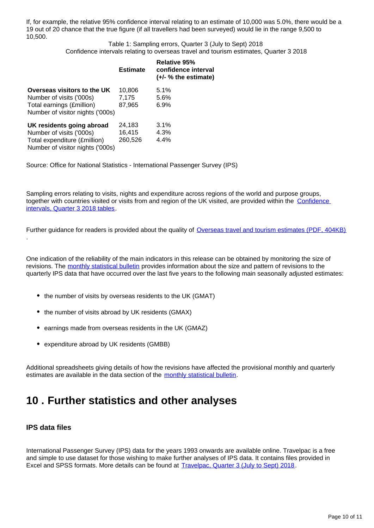If, for example, the relative 95% confidence interval relating to an estimate of 10,000 was 5.0%, there would be a 19 out of 20 chance that the true figure (if all travellers had been surveyed) would lie in the range 9,500 to 10,500.

> Table 1: Sampling errors, Quarter 3 (July to Sept) 2018 Confidence intervals relating to overseas travel and tourism estimates, Quarter 3 2018

|                                                                                                                           | <b>Estimate</b>             | <b>Relative 95%</b><br>confidence interval<br>$(+/- %$ the estimate) |
|---------------------------------------------------------------------------------------------------------------------------|-----------------------------|----------------------------------------------------------------------|
| Overseas visitors to the UK<br>Number of visits ('000s)<br>Total earnings (£million)<br>Number of visitor nights ('000s)  | 10,806<br>7,175<br>87,965   | 5.1%<br>5.6%<br>6.9%                                                 |
| UK residents going abroad<br>Number of visits ('000s)<br>Total expenditure (£million)<br>Number of visitor nights ('000s) | 24,183<br>16,415<br>260.526 | 3.1%<br>4.3%<br>4.4%                                                 |

Source: Office for National Statistics - International Passenger Survey (IPS)

Sampling errors relating to visits, nights and expenditure across regions of the world and purpose groups, together with countries visited or visits from and region of the UK visited, are provided within the [Confidence](https://www.ons.gov.uk/peoplepopulationandcommunity/leisureandtourism/datasets/quarterlyoverseastravelandtourismconfidenceintervals)  [intervals, Quarter 3 2018 tables](https://www.ons.gov.uk/peoplepopulationandcommunity/leisureandtourism/datasets/quarterlyoverseastravelandtourismconfidenceintervals).

Further guidance for readers is provided about the quality of [Overseas travel and tourism estimates \(PDF, 404KB\)](http://webarchive.nationalarchives.gov.uk/20160105160709/http:/www.ons.gov.uk/ons/guide-method/method-quality/specific/travel-and-transport-methodology/international-passenger-survey-methodology/international-passenger-survey-quality-information-in-relation-to-ott-estimates.pdf) .

One indication of the reliability of the main indicators in this release can be obtained by monitoring the size of revisions. The [monthly statistical bulletin](https://www.ons.gov.uk/peoplepopulationandcommunity/leisureandtourism/bulletins/overseastravelandtourism/previousReleases) provides information about the size and pattern of revisions to the quarterly IPS data that have occurred over the last five years to the following main seasonally adjusted estimates:

- the number of visits by overseas residents to the UK (GMAT)
- the number of visits abroad by UK residents (GMAX)
- earnings made from overseas residents in the UK (GMAZ)
- expenditure abroad by UK residents (GMBB)

Additional spreadsheets giving details of how the revisions have affected the provisional monthly and quarterly estimates are available in the data section of the [monthly statistical bulletin](https://www.ons.gov.uk/peoplepopulationandcommunity/leisureandtourism/datasets/monthlyoverseastravelandtourismrevisionstriangles).

## <span id="page-9-0"></span>**10 . Further statistics and other analyses**

## **IPS data files**

International Passenger Survey (IPS) data for the years 1993 onwards are available online. Travelpac is a free and simple to use dataset for those wishing to make further analyses of IPS data. It contains files provided in Excel and SPSS formats. More details can be found at [Travelpac, Quarter 3 \(July to Sept\) 2018.](https://www.ons.gov.uk/peoplepopulationandcommunity/leisureandtourism/datasets/travelpac)